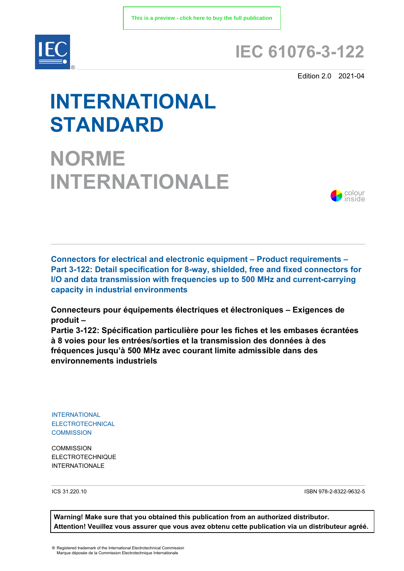

### **IEC 61076-3-122**

Edition 2.0 2021-04

# **INTERNATIONAL STANDARD**

## **NORME INTERNATIONALE**



**Connectors for electrical and electronic equipment – Product requirements – Part 3-122: Detail specification for 8-way, shielded, free and fixed connectors for I/O and data transmission with frequencies up to 500 MHz and current-carrying capacity in industrial environments** 

**Connecteurs pour équipements électriques et électroniques – Exigences de produit –** 

**Partie 3-122: Spécification particulière pour les fiches et les embases écrantées à 8 voies pour les entrées/sorties et la transmission des données à des fréquences jusqu'à 500 MHz avec courant limite admissible dans des environnements industriels** 

INTERNATIONAL ELECTROTECHNICAL **COMMISSION** 

**COMMISSION** ELECTROTECHNIQUE INTERNATIONALE

ICS 31.220.10 ISBN 978-2-8322-9632-5

**Warning! Make sure that you obtained this publication from an authorized distributor. Attention! Veuillez vous assurer que vous avez obtenu cette publication via un distributeur agréé.**

® Registered trademark of the International Electrotechnical Commission Marque déposée de la Commission Electrotechnique Internationale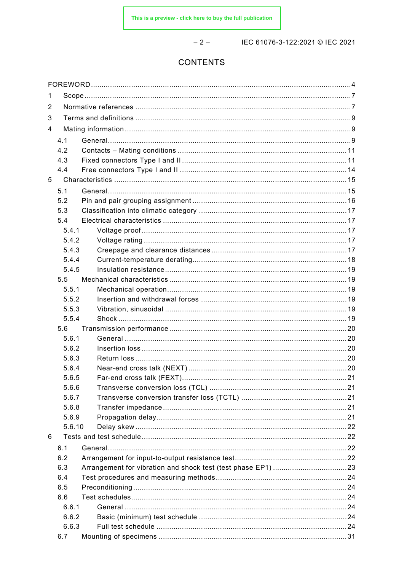$-2-$ 

IEC 61076-3-122:2021 © IEC 2021

### CONTENTS

| 1 |        |  |
|---|--------|--|
| 2 |        |  |
| 3 |        |  |
| 4 |        |  |
|   | 4.1    |  |
|   | 4.2    |  |
|   | 4.3    |  |
|   | 4.4    |  |
| 5 |        |  |
|   | 5.1    |  |
|   | 5.2    |  |
|   | 5.3    |  |
|   | 5.4    |  |
|   | 5.4.1  |  |
|   | 5.4.2  |  |
|   | 5.4.3  |  |
|   | 5.4.4  |  |
|   | 5.4.5  |  |
|   | 5.5    |  |
|   | 5.5.1  |  |
|   | 5.5.2  |  |
|   | 5.5.3  |  |
|   | 5.5.4  |  |
|   | 5.6    |  |
|   | 5.6.1  |  |
|   | 5.6.2  |  |
|   | 5.6.3  |  |
|   | 5.6.4  |  |
|   | 5.6.5  |  |
|   | 5.6.6  |  |
|   | 5.6.7  |  |
|   | 5.6.8  |  |
|   | 5.6.9  |  |
|   | 5.6.10 |  |
| 6 |        |  |
|   | 6.1    |  |
|   | 6.2    |  |
|   | 6.3    |  |
|   | 6.4    |  |
|   | 6.5    |  |
|   | 6.6    |  |
|   | 6.6.1  |  |
|   | 6.6.2  |  |
|   | 6.6.3  |  |
|   | 6.7    |  |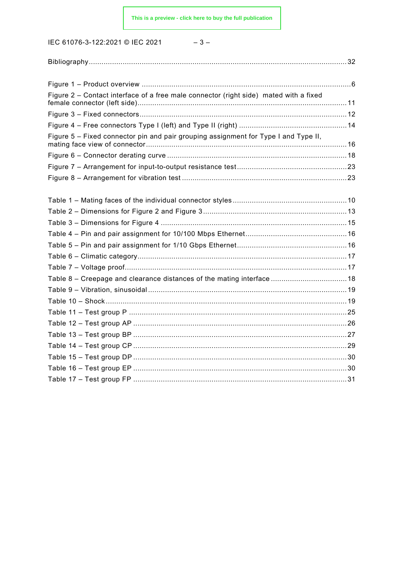IEC 61076-3-122:2021 © IEC 2021  $-3-$ 

| Figure 2 – Contact interface of a free male connector (right side) mated with a fixed |  |
|---------------------------------------------------------------------------------------|--|
|                                                                                       |  |
|                                                                                       |  |
| Figure 5 – Fixed connector pin and pair grouping assignment for Type I and Type II,   |  |
|                                                                                       |  |
|                                                                                       |  |
|                                                                                       |  |
|                                                                                       |  |
|                                                                                       |  |
|                                                                                       |  |
|                                                                                       |  |
|                                                                                       |  |
|                                                                                       |  |
|                                                                                       |  |
| Table 8 – Creepage and clearance distances of the mating interface  18                |  |
|                                                                                       |  |
|                                                                                       |  |
|                                                                                       |  |
|                                                                                       |  |
|                                                                                       |  |
|                                                                                       |  |
|                                                                                       |  |
|                                                                                       |  |
|                                                                                       |  |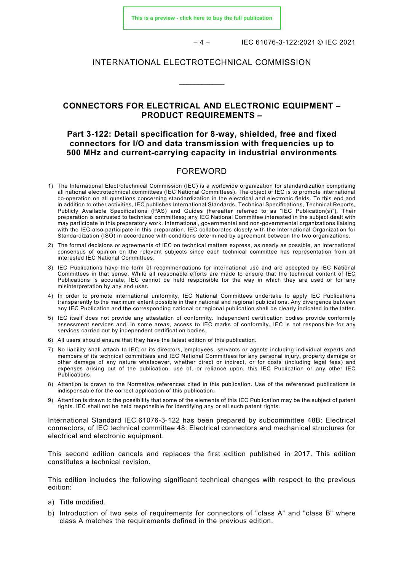**[This is a preview - click here to buy the full publication](https://webstore.iec.ch/publication/63521&preview)**

– 4 – IEC 61076-3-122:2021 © IEC 2021

#### INTERNATIONAL ELECTROTECHNICAL COMMISSION

\_\_\_\_\_\_\_\_\_\_\_\_

#### **CONNECTORS FOR ELECTRICAL AND ELECTRONIC EQUIPMENT – PRODUCT REQUIREMENTS –**

#### **Part 3-122: Detail specification for 8-way, shielded, free and fixed connectors for I/O and data transmission with frequencies up to 500 MHz and current-carrying capacity in industrial environments**

#### FOREWORD

- <span id="page-3-0"></span>1) The International Electrotechnical Commission (IEC) is a worldwide organization for standardization comprising all national electrotechnical committees (IEC National Committees). The object of IEC is to promote international co-operation on all questions concerning standardization in the electrical and electronic fields. To this end and in addition to other activities, IEC publishes International Standards, Technical Specifications, Technical Reports, Publicly Available Specifications (PAS) and Guides (hereafter referred to as "IEC Publication(s)"). Their preparation is entrusted to technical committees; any IEC National Committee interested in the subject dealt with may participate in this preparatory work. International, governmental and non-governmental organizations liaising with the IEC also participate in this preparation. IEC collaborates closely with the International Organization for Standardization (ISO) in accordance with conditions determined by agreement between the two organizations.
- 2) The formal decisions or agreements of IEC on technical matters express, as nearly as possible, an international consensus of opinion on the relevant subjects since each technical committee has representation from all interested IEC National Committees.
- 3) IEC Publications have the form of recommendations for international use and are accepted by IEC National Committees in that sense. While all reasonable efforts are made to ensure that the technical content of IEC Publications is accurate, IEC cannot be held responsible for the way in which they are used or for any misinterpretation by any end user.
- 4) In order to promote international uniformity, IEC National Committees undertake to apply IEC Publications transparently to the maximum extent possible in their national and regional publications. Any divergence between any IEC Publication and the corresponding national or regional publication shall be clearly indicated in the latter.
- 5) IEC itself does not provide any attestation of conformity. Independent certification bodies provide conformity assessment services and, in some areas, access to IEC marks of conformity. IEC is not responsible for any services carried out by independent certification bodies.
- 6) All users should ensure that they have the latest edition of this publication.
- 7) No liability shall attach to IEC or its directors, employees, servants or agents including individual experts and members of its technical committees and IEC National Committees for any personal injury, property damage or other damage of any nature whatsoever, whether direct or indirect, or for costs (including legal fees) and expenses arising out of the publication, use of, or reliance upon, this IEC Publication or any other IEC Publications.
- 8) Attention is drawn to the Normative references cited in this publication. Use of the referenced publications is indispensable for the correct application of this publication.
- 9) Attention is drawn to the possibility that some of the elements of this IEC Publication may be the subject of patent rights. IEC shall not be held responsible for identifying any or all such patent rights.

International Standard IEC 61076-3-122 has been prepared by subcommittee 48B: Electrical connectors, of IEC technical committee 48: Electrical connectors and mechanical structures for electrical and electronic equipment.

This second edition cancels and replaces the first edition published in 2017. This edition constitutes a technical revision.

This edition includes the following significant technical changes with respect to the previous edition:

- a) Title modified.
- b) Introduction of two sets of requirements for connectors of "class A" and "class B" where class A matches the requirements defined in the previous edition.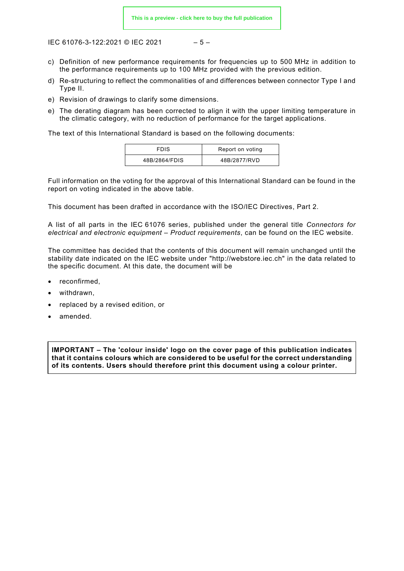IEC 61076-3-122:2021 © IEC 2021 – 5 –

- c) Definition of new performance requirements for frequencies up to 500 MHz in addition to the performance requirements up to 100 MHz provided with the previous edition.
- d) Re-structuring to reflect the commonalities of and differences between connector Type I and Type II.
- e) Revision of drawings to clarify some dimensions.
- e) The derating diagram has been corrected to align it with the upper limiting temperature in the climatic category, with no reduction of performance for the target applications.

The text of this International Standard is based on the following documents:

| <b>FDIS</b>   | Report on voting |
|---------------|------------------|
| 48B/2864/FDIS | 48B/2877/RVD     |

Full information on the voting for the approval of this International Standard can be found in the report on voting indicated in the above table.

This document has been drafted in accordance with the ISO/IEC Directives, Part 2.

A list of all parts in the IEC 61076 series, published under the general title *Connectors for electrical and electronic equipment – Product requirements*, can be found on the IEC website.

The committee has decided that the contents of this document will remain unchanged until the stability date indicated on the IEC website under "http://webstore.iec.ch" in the data related to the specific document. At this date, the document will be

- reconfirmed,
- withdrawn,
- replaced by a revised edition, or
- amended.

**IMPORTANT – The 'colour inside' logo on the cover page of this publication indicates that it contains colours which are considered to be useful for the correct understanding of its contents. Users should therefore print this document using a colour printer.**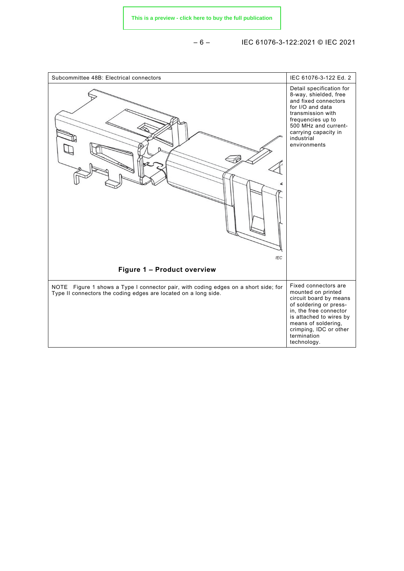– 6 – IEC 61076-3-122:2021 © IEC 2021

<span id="page-5-0"></span>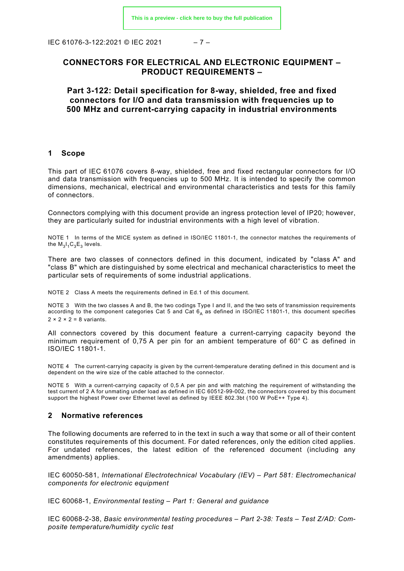IEC 61076-3-122:2021 © IEC 2021 – 7 –

#### **CONNECTORS FOR ELECTRICAL AND ELECTRONIC EQUIPMENT – PRODUCT REQUIREMENTS –**

**Part 3-122: Detail specification for 8-way, shielded, free and fixed connectors for I/O and data transmission with frequencies up to 500 MHz and current-carrying capacity in industrial environments**

#### <span id="page-6-0"></span>**1 Scope**

This part of IEC 61076 covers 8-way, shielded, free and fixed rectangular connectors for I/O and data transmission with frequencies up to 500 MHz. It is intended to specify the common dimensions, mechanical, electrical and environmental characteristics and tests for this family of connectors.

Connectors complying with this document provide an ingress protection level of IP20; however, they are particularly suited for industrial environments with a high level of vibration.

NOTE 1 In terms of the MICE system as defined in ISO/IEC 11801-1, the connector matches the requirements of the  $\mathsf{M}_3\mathsf{I}_1\mathsf{C}_3\mathsf{E}_3$  levels.

There are two classes of connectors defined in this document, indicated by "class A" and "class B" which are distinguished by some electrical and mechanical characteristics to meet the particular sets of requirements of some industrial applications.

NOTE 2 Class A meets the requirements defined in Ed.1 of this document.

NOTE 3 With the two classes A and B, the two codings Type I and II, and the two sets of transmission requirements according to the component categories Cat 5 and Cat  $6_A$  as defined in ISO/IEC 11801-1, this document specifies  $2 \times 2 \times 2 = 8$  variants.

All connectors covered by this document feature a current-carrying capacity beyond the minimum requirement of 0,75 A per pin for an ambient temperature of 60° C as defined in ISO/IEC 11801-1.

NOTE 4 The current-carrying capacity is given by the current-temperature derating defined in this document and is dependent on the wire size of the cable attached to the connector.

NOTE 5 With a current-carrying capacity of 0,5 A per pin and with matching the requirement of withstanding the test current of 2 A for unmating under load as defined in IEC 60512-99-002, the connectors covered by this document support the highest Power over Ethernet level as defined by IEEE 802.3bt (100 W PoE++ Type 4).

#### <span id="page-6-1"></span>**2 Normative references**

The following documents are referred to in the text in such a way that some or all of their content constitutes requirements of this document. For dated references, only the edition cited applies. For undated references, the latest edition of the referenced document (including any amendments) applies.

IEC 60050-581, *International Electrotechnical Vocabulary (IEV) – Part 581: Electromechanical components for electronic equipment*

IEC 60068-1, *Environmental testing – Part 1: General and guidance*

IEC 60068-2-38, *Basic environmental testing procedures – Part 2-38: Tests – Test Z/AD: Composite temperature/humidity cyclic test*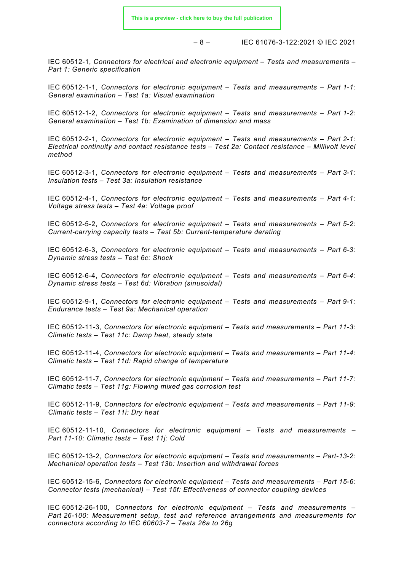– 8 – IEC 61076-3-122:2021 © IEC 2021

IEC 60512-1, *Connectors for electrical and electronic equipment – Tests and measurements – Part 1: Generic specification* 

IEC 60512-1-1, *Connectors for electronic equipment – Tests and measurements – Part 1-1: General examination – Test 1a: Visual examination*

IEC 60512-1-2, *Connectors for electronic equipment – Tests and measurements – Part 1-2: General examination – Test 1b: Examination of dimension and mass* 

IEC 60512-2-1*, Connectors for electronic equipment – Tests and measurements – Part 2-1: Electrical continuity and contact resistance tests – Test 2a: Contact resistance – Millivolt level method*

IEC 60512-3-1, *Connectors for electronic equipment – Tests and measurements – Part 3-1: Insulation tests – Test 3a: Insulation resistance*

IEC 60512-4-1, *Connectors for electronic equipment – Tests and measurements – Part 4-1: Voltage stress tests – Test 4a: Voltage proof*

IEC 60512-5-2, *Connectors for electronic equipment – Tests and measurements – Part 5-2: Current-carrying capacity tests – Test 5b: Current-temperature derating*

IEC 60512-6-3, *Connectors for electronic equipment – Tests and measurements – Part 6-3: Dynamic stress tests – Test 6c: Shock*

IEC 60512-6-4, *Connectors for electronic equipment – Tests and measurements – Part 6-4: Dynamic stress tests – Test 6d: Vibration (sinusoidal)*

IEC 60512-9-1, *Connectors for electronic equipment – Tests and measurements – Part 9-1: Endurance tests – Test 9a: Mechanical operation*

IEC 60512-11-3, *Connectors for electronic equipment – Tests and measurements – Part 11-3: Climatic tests – Test 11c: Damp heat, steady state*

IEC 60512-11-4, *Connectors for electronic equipment – Tests and measurements – Part 11-4: Climatic tests – Test 11d: Rapid change of temperature*

IEC 60512-11-7, *Connectors for electronic equipment – Tests and measurements – Part 11-7: Climatic tests – Test 11g: Flowing mixed gas corrosion test*

IEC 60512-11-9, *Connectors for electronic equipment – Tests and measurements – Part 11-9: Climatic tests – Test 11i: Dry heat*

IEC 60512-11-10, *Connectors for electronic equipment – Tests and measurements – Part 11-10: Climatic tests – Test 11j: Cold*

IEC 60512-13-2, *Connectors for electronic equipment – Tests and measurements – Part-13-2: Mechanical operation tests – Test 13b: Insertion and withdrawal forces*

IEC 60512-15-6, *Connectors for electronic equipment – Tests and measurements – Part 15-6: Connector tests (mechanical) – Test 15f: Effectiveness of connector coupling devices*

IEC 60512-26-100, *Connectors for electronic equipment – Tests and measurements – Part 26-100: Measurement setup, test and reference arrangements and measurements for connectors according to IEC 60603-7 – Tests 26a to 26g*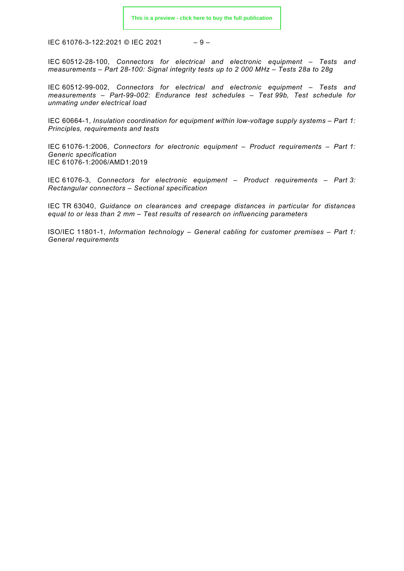IEC 61076-3-122:2021 © IEC 2021 – 9 –

IEC 60512-28-100, *Connectors for electrical and electronic equipment – Tests and measurements – Part 28-100: Signal integrity tests up to 2 000 MHz – Tests 28a to 28g*

IEC 60512-99-002, *Connectors for electrical and electronic equipment – Tests and measurements – Part-99-002: Endurance test schedules – Test 99b, Test schedule for unmating under electrical load*

IEC 60664-1, *Insulation coordination for equipment within low-voltage supply systems – Part 1: Principles, requirements and tests*

IEC 61076-1:2006, *Connectors for electronic equipment – Product requirements – Part 1: Generic specification* IEC 61076-1:2006/AMD1:2019

IEC 61076-3, *Connectors for electronic equipment – Product requirements – Part 3: Rectangular connectors – Sectional specification*

IEC TR 63040, *Guidance on clearances and creepage distances in particular for distances equal to or less than 2 mm – Test results of research on influencing parameters*

<span id="page-8-2"></span><span id="page-8-1"></span><span id="page-8-0"></span>ISO/IEC 11801*-*1, *Information technology – General cabling for customer premises – Part 1: General requirements*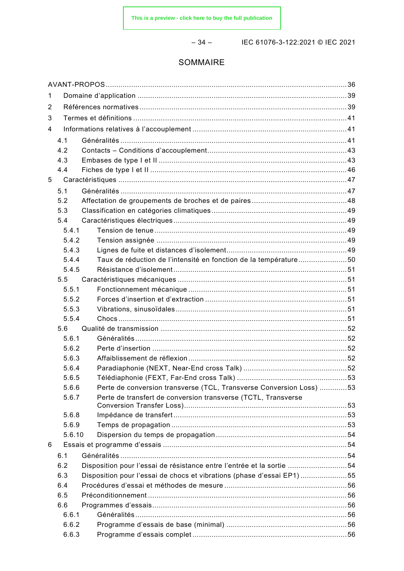$-34-$ 

IEC 61076-3-122:2021 © IEC 2021

#### SOMMAIRE

| 1 |        |                                                                        |  |
|---|--------|------------------------------------------------------------------------|--|
| 2 |        |                                                                        |  |
| 3 |        |                                                                        |  |
| 4 |        |                                                                        |  |
|   | 4.1    |                                                                        |  |
|   | 4.2    |                                                                        |  |
|   | 4.3    |                                                                        |  |
|   | 4.4    |                                                                        |  |
| 5 |        |                                                                        |  |
|   | 5.1    |                                                                        |  |
|   | 5.2    |                                                                        |  |
|   | 5.3    |                                                                        |  |
|   | 5.4    |                                                                        |  |
|   | 5.4.1  |                                                                        |  |
|   | 5.4.2  |                                                                        |  |
|   | 5.4.3  |                                                                        |  |
|   | 5.4.4  | Taux de réduction de l'intensité en fonction de la température50       |  |
|   | 5.4.5  |                                                                        |  |
|   | 5.5    |                                                                        |  |
|   | 5.5.1  |                                                                        |  |
|   | 5.5.2  |                                                                        |  |
|   | 5.5.3  |                                                                        |  |
|   | 5.5.4  |                                                                        |  |
|   | 5.6    |                                                                        |  |
|   | 5.6.1  |                                                                        |  |
|   | 5.6.2  |                                                                        |  |
|   | 5.6.3  |                                                                        |  |
|   | 5.6.4  |                                                                        |  |
|   | 5.6.5  |                                                                        |  |
|   | 5.6.6  | Perte de conversion transverse (TCL, Transverse Conversion Loss) 53    |  |
|   | 5.6.7  | Perte de transfert de conversion transverse (TCTL, Transverse          |  |
|   | 5.6.8  |                                                                        |  |
|   | 5.6.9  |                                                                        |  |
|   | 5.6.10 |                                                                        |  |
| 6 |        |                                                                        |  |
|   | 6.1    |                                                                        |  |
|   | 6.2    | Disposition pour l'essai de résistance entre l'entrée et la sortie 54  |  |
|   | 6.3    | Disposition pour l'essai de chocs et vibrations (phase d'essai EP1) 55 |  |
|   | 6.4    |                                                                        |  |
|   | 6.5    |                                                                        |  |
|   | 6.6    |                                                                        |  |
|   | 6.6.1  |                                                                        |  |
|   | 6.6.2  |                                                                        |  |
|   | 6.6.3  |                                                                        |  |
|   |        |                                                                        |  |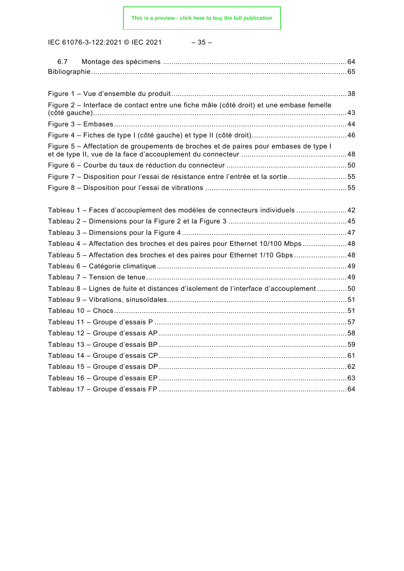IEC 61076-3-122:2021 © IEC 2021 – 35 –

| Figure 2 - Interface de contact entre une fiche mâle (côté droit) et une embase femelle |  |
|-----------------------------------------------------------------------------------------|--|
|                                                                                         |  |
|                                                                                         |  |
| Figure 5 – Affectation de groupements de broches et de paires pour embases de type l    |  |
|                                                                                         |  |
| Figure 7 - Disposition pour l'essai de résistance entre l'entrée et la sortie55         |  |
|                                                                                         |  |
| Tableau 1 - Faces d'accouplement des modèles de connecteurs individuels 42              |  |
| Tableau 2 – Dimensions pour la Figure 2 et la Figure 3 ………………………………………………45             |  |
|                                                                                         |  |
| Tableau 4 - Affectation des broches et des paires pour Ethernet 10/100 Mbps48           |  |
| Tableau 5 - Affectation des broches et des paires pour Ethernet 1/10 Gbps48             |  |
|                                                                                         |  |
|                                                                                         |  |
| Tableau 8 - Lignes de fuite et distances d'isolement de l'interface d'accouplement 50   |  |
|                                                                                         |  |
|                                                                                         |  |
|                                                                                         |  |

Tableau 12 – Groupe d'essais AP.........................................................................................58 Tableau 13 – Groupe d'essais BP.........................................................................................59 Tableau 14 – Groupe d'essais CP.........................................................................................61 Tableau 15 – Groupe d'essais DP.........................................................................................62 Tableau 16 – Groupe d'essais EP.........................................................................................63 Tableau 17 – Groupe d'essais FP .........................................................................................64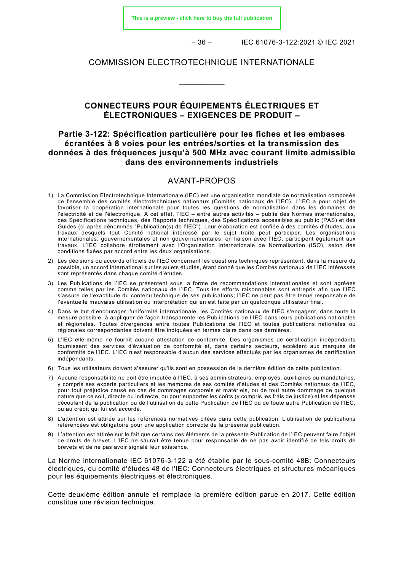**[This is a preview - click here to buy the full publication](https://webstore.iec.ch/publication/63521&preview)**

– 36 – IEC 61076-3-122:2021 © IEC 2021

#### COMMISSION ÉLECTROTECHNIQUE INTERNATIONALE

\_\_\_\_\_\_\_\_\_\_\_\_

#### **CONNECTEURS POUR ÉQUIPEMENTS ÉLECTRIQUES ET ÉLECTRONIQUES – EXIGENCES DE PRODUIT –**

#### **Partie 3-122: Spécification particulière pour les fiches et les embases écrantées à 8 voies pour les entrées/sorties et la transmission des données à des fréquences jusqu'à 500 MHz avec courant limite admissible dans des environnements industriels**

#### AVANT-PROPOS

- <span id="page-11-0"></span>1) La Commission Electrotechnique Internationale (IEC) est une organisation mondiale de normalisation composée de l'ensemble des comités électrotechniques nationaux (Comités nationaux de l'IEC). L'IEC a pour objet de favoriser la coopération internationale pour toutes les questions de normalisation dans les domaines de l'électricité et de l'électronique. A cet effet, l'IEC – entre autres activités – publie des Normes internationales, des Spécifications techniques, des Rapports techniques, des Spécifications accessibles au public (PAS) et des Guides (ci-après dénommés "Publication(s) de l'IEC"). Leur élaboration est confiée à des comités d'études, aux travaux desquels tout Comité national intéressé par le sujet traité peut participer. Les organisations internationales, gouvernementales et non gouvernementales, en liaison avec l'IEC, participent également aux travaux. L'IEC collabore étroitement avec l'Organisation Internationale de Normalisation (ISO), selon des conditions fixées par accord entre les deux organisations.
- 2) Les décisions ou accords officiels de l'IEC concernant les questions techniques représentent, dans la mesure du possible, un accord international sur les sujets étudiés, étant donné que les Comités nationaux de l'IEC intéressés sont représentés dans chaque comité d'études.
- 3) Les Publications de l'IEC se présentent sous la forme de recommandations internationales et sont agréées comme telles par les Comités nationaux de l'IEC. Tous les efforts raisonnables sont entrepris afin que l'IEC s'assure de l'exactitude du contenu technique de ses publications; l'IEC ne peut pas être tenue responsable de l'éventuelle mauvaise utilisation ou interprétation qui en est faite par un quelconque utilisateur final.
- 4) Dans le but d'encourager l'uniformité internationale, les Comités nationaux de l'IEC s'engagent, dans toute la mesure possible, à appliquer de façon transparente les Publications de l'IEC dans leurs publications nationales et régionales. Toutes divergences entre toutes Publications de l'IEC et toutes publications nationales ou régionales correspondantes doivent être indiquées en termes clairs dans ces dernières.
- 5) L'IEC elle-même ne fournit aucune attestation de conformité. Des organismes de certification indépendants fournissent des services d'évaluation de conformité et, dans certains secteurs, accèdent aux marques de conformité de l'IEC. L'IEC n'est responsable d'aucun des services effectués par les organismes de certification indépendants.
- 6) Tous les utilisateurs doivent s'assurer qu'ils sont en possession de la dernière édition de cette publication.
- 7) Aucune responsabilité ne doit être imputée à l'IEC, à ses administrateurs, employés, auxiliaires ou mandataires, y compris ses experts particuliers et les membres de ses comités d'études et des Comités nationaux de l'IEC, pour tout préjudice causé en cas de dommages corporels et matériels, ou de tout autre dommage de quelque nature que ce soit, directe ou indirecte, ou pour supporter les coûts (y compris les frais de justice) et les dépenses découlant de la publication ou de l'utilisation de cette Publication de l'IEC ou de toute autre Publication de l'IEC, ou au crédit qui lui est accordé.
- 8) L'attention est attirée sur les références normatives citées dans cette publication. L'utilisation de publications référencées est obligatoire pour une application correcte de la présente publication.
- 9) L'attention est attirée sur le fait que certains des éléments de la présente Publication de l'IEC peuvent faire l'objet de droits de brevet. L'IEC ne saurait être tenue pour responsable de ne pas avoir identifié de tels droits de brevets et de ne pas avoir signalé leur existence.

La Norme internationale IEC 61076-3-122 a été établie par le sous-comité 48B: Connecteurs électriques, du comité d'études 48 de l'IEC: Connecteurs électriques et structures mécaniques pour les équipements électriques et électroniques.

Cette deuxième édition annule et remplace la première édition parue en 2017. Cette édition constitue une révision technique.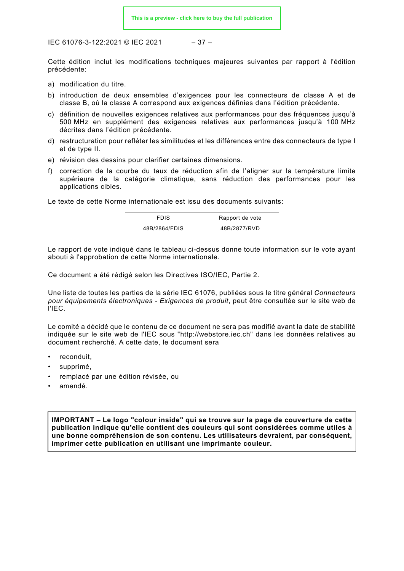IEC 61076-3-122:2021 © IEC 2021 – 37 –

Cette édition inclut les modifications techniques majeures suivantes par rapport à l'édition précédente:

- a) modification du titre.
- b) introduction de deux ensembles d'exigences pour les connecteurs de classe A et de classe B, où la classe A correspond aux exigences définies dans l'édition précédente.
- c) définition de nouvelles exigences relatives aux performances pour des fréquences jusqu'à 500 MHz en supplément des exigences relatives aux performances jusqu'à 100 MHz décrites dans l'édition précédente.
- d) restructuration pour refléter les similitudes et les différences entre des connecteurs de type I et de type II.
- e) révision des dessins pour clarifier certaines dimensions.
- f) correction de la courbe du taux de réduction afin de l'aligner sur la température limite supérieure de la catégorie climatique, sans réduction des performances pour les applications cibles.

Le texte de cette Norme internationale est issu des documents suivants:

| <b>FDIS</b>   | Rapport de vote |
|---------------|-----------------|
| 48B/2864/FDIS | 48B/2877/RVD    |

Le rapport de vote indiqué dans le tableau ci-dessus donne toute information sur le vote ayant abouti à l'approbation de cette Norme internationale.

Ce document a été rédigé selon les Directives ISO/IEC, Partie 2.

Une liste de toutes les parties de la série IEC 61076, publiées sous le titre général *Connecteurs pour équipements électroniques - Exigences de produit*, peut être consultée sur le site web de l'IEC.

Le comité a décidé que le contenu de ce document ne sera pas modifié avant la date de stabilité indiquée sur le site web de l'IEC sous "http://webstore.iec.ch" dans les données relatives au document recherché. A cette date, le document sera

- reconduit.
- supprimé,
- remplacé par une édition révisée, ou
- amendé.

**IMPORTANT – Le logo "colour inside" qui se trouve sur la page de couverture de cette publication indique qu'elle contient des couleurs qui sont considérées comme utiles à une bonne compréhension de son contenu. Les utilisateurs devraient, par conséquent, imprimer cette publication en utilisant une imprimante couleur.**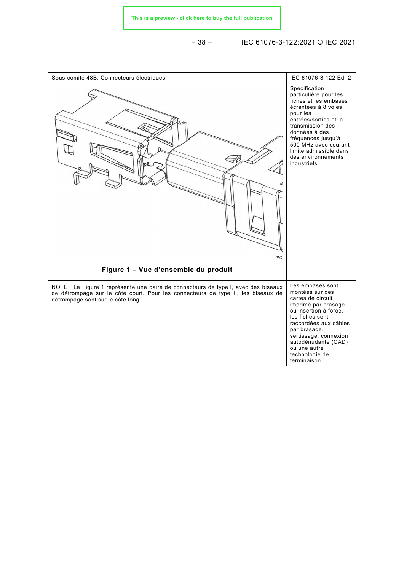<span id="page-13-0"></span>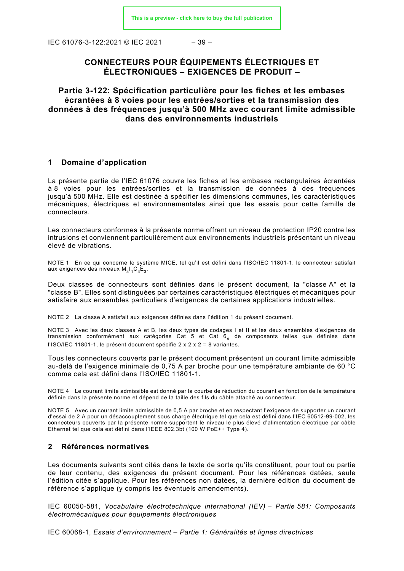IEC 61076-3-122:2021 © IEC 2021 – 39 –

#### **CONNECTEURS POUR ÉQUIPEMENTS ÉLECTRIQUES ET ÉLECTRONIQUES – EXIGENCES DE PRODUIT –**

#### **Partie 3-122: Spécification particulière pour les fiches et les embases écrantées à 8 voies pour les entrées/sorties et la transmission des données à des fréquences jusqu'à 500 MHz avec courant limite admissible dans des environnements industriels**

#### <span id="page-14-0"></span>**1 Domaine d'application**

La présente partie de l'IEC 61076 couvre les fiches et les embases rectangulaires écrantées à 8 voies pour les entrées/sorties et la transmission de données à des fréquences jusqu'à 500 MHz. Elle est destinée à spécifier les dimensions communes, les caractéristiques mécaniques, électriques et environnementales ainsi que les essais pour cette famille de connecteurs.

Les connecteurs conformes à la présente norme offrent un niveau de protection IP20 contre les intrusions et conviennent particulièrement aux environnements industriels présentant un niveau élevé de vibrations.

NOTE 1 En ce qui concerne le système MICE, tel qu'il est défini dans l'ISO/IEC 11801-1, le connecteur satisfait aux exigences des niveaux  $\mathsf{M}_3\mathsf{I}_4\mathsf{C}_3\mathsf{E}_3$ .

Deux classes de connecteurs sont définies dans le présent document, la "classe A" et la "classe B". Elles sont distinguées par certaines caractéristiques électriques et mécaniques pour satisfaire aux ensembles particuliers d'exigences de certaines applications industrielles.

NOTE 2 La classe A satisfait aux exigences définies dans l'édition 1 du présent document.

NOTE 3 Avec les deux classes A et B, les deux types de codages I et II et les deux ensembles d'exigences de transmission conformément aux catégories Cat 5 et Cat  $\tilde{6}_A$  de composants telles que définies dans l'ISO/IEC 11801-1, le présent document spécifie 2 x 2 x 2 = 8 variantes.

Tous les connecteurs couverts par le présent document présentent un courant limite admissible au-delà de l'exigence minimale de 0,75 A par broche pour une température ambiante de 60 °C comme cela est défini dans l'ISO/IEC 11801-1.

NOTE 4 Le courant limite admissible est donné par la courbe de réduction du courant en fonction de la température définie dans la présente norme et dépend de la taille des fils du câble attaché au connecteur.

NOTE 5 Avec un courant limite admissible de 0,5 A par broche et en respectant l'exigence de supporter un courant d'essai de 2 A pour un désaccouplement sous charge électrique tel que cela est défini dans l'IEC 60512-99-002, les connecteurs couverts par la présente norme supportent le niveau le plus élevé d'alimentation électrique par câble Ethernet tel que cela est défini dans l'IEEE 802.3bt (100 W PoE++ Type 4).

#### <span id="page-14-1"></span>**2 Références normatives**

Les documents suivants sont cités dans le texte de sorte qu'ils constituent, pour tout ou partie de leur contenu, des exigences du présent document. Pour les références datées, seule l'édition citée s'applique. Pour les références non datées, la dernière édition du document de référence s'applique (y compris les éventuels amendements).

IEC 60050-581, *Vocabulaire électrotechnique international (IEV) – Partie 581: Composants électromécaniques pour équipements électroniques*

IEC 60068-1, *Essais d'environnement – Partie 1: Généralités et lignes directrices*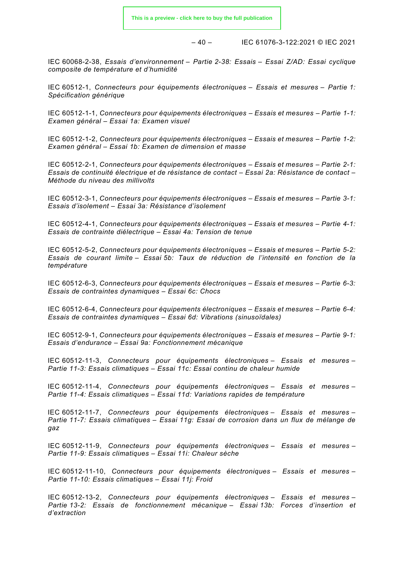– 40 – IEC 61076-3-122:2021 © IEC 2021

IEC 60068-2-38, *Essais d'environnement – Partie 2-38: Essais – Essai Z/AD: Essai cyclique composite de température et d'humidité*

IEC 60512-1, *Connecteurs pour équipements électroniques – Essais et mesures – Partie 1: Spécification générique* 

IEC 60512-1-1, *Connecteurs pour équipements électroniques – Essais et mesures – Partie 1-1: Examen général – Essai 1a: Examen visuel*

IEC 60512-1-2, *Connecteurs pour équipements électroniques – Essais et mesures – Partie 1-2: Examen général – Essai 1b: Examen de dimension et masse* 

IEC 60512-2-1, *Connecteurs pour équipements électroniques – Essais et mesures – Partie 2-1: Essais de continuité électrique et de résistance de contact – Essai 2a: Résistance de contact – Méthode du niveau des millivolts*

IEC 60512-3-1, *Connecteurs pour équipements électroniques – Essais et mesures – Partie 3-1: Essais d'isolement – Essai 3a: Résistance d'isolement*

IEC 60512-4-1, *Connecteurs pour équipements électroniques – Essais et mesures – Partie 4-1: Essais de contrainte diélectrique – Essai 4a: Tension de tenue*

IEC 60512-5-2, *Connecteurs pour équipements électroniques – Essais et mesures – Partie 5-2: Essais de courant limite – Essai 5b: Taux de réduction de l'intensité en fonction de la température*

IEC 60512-6-3, *Connecteurs pour équipements électroniques – Essais et mesures – Partie 6-3: Essais de contraintes dynamiques – Essai 6c: Chocs*

IEC 60512-6-4, *Connecteurs pour équipements électroniques – Essais et mesures – Partie 6-4: Essais de contraintes dynamiques – Essai 6d: Vibrations (sinusoïdales)*

IEC 60512-9-1, *Connecteurs pour équipements électroniques – Essais et mesures – Partie 9-1: Essais d'endurance – Essai 9a: Fonctionnement mécanique*

IEC 60512-11-3, *Connecteurs pour équipements électroniques – Essais et mesures – Partie 11-3: Essais climatiques – Essai 11c: Essai continu de chaleur humide*

IEC 60512-11-4, *Connecteurs pour équipements électroniques – Essais et mesures – Partie 11-4: Essais climatiques – Essai 11d: Variations rapides de température*

IEC 60512-11-7, *Connecteurs pour équipements électroniques – Essais et mesures – Partie 11-7: Essais climatiques – Essai 11g: Essai de corrosion dans un flux de mélange de gaz*

IEC 60512-11-9, *Connecteurs pour équipements électroniques – Essais et mesures – Partie 11-9: Essais climatiques – Essai 11i: Chaleur sèche*

IEC 60512-11-10, *Connecteurs pour équipements électroniques – Essais et mesures – Partie 11-10: Essais climatiques – Essai 11j: Froid*

IEC 60512-13-2, *Connecteurs pour équipements électroniques – Essais et mesures – Partie 13-2: Essais de fonctionnement mécanique – Essai 13b: Forces d'insertion et d'extraction*